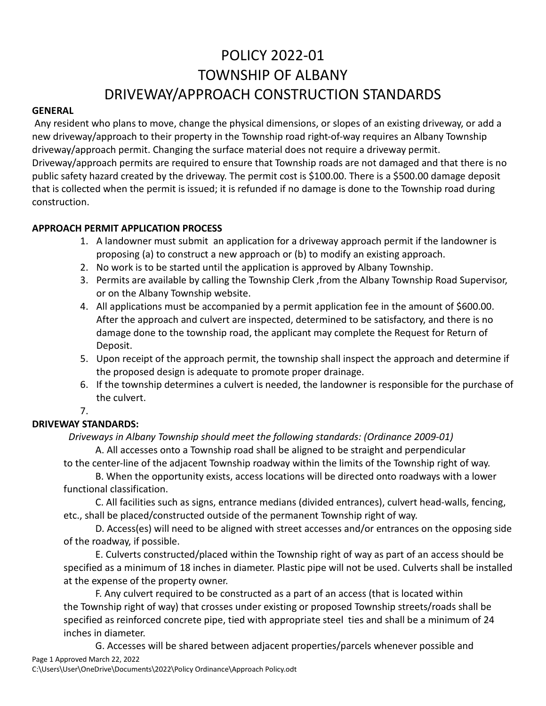# POLICY 2022-01 TOWNSHIP OF ALBANY DRIVEWAY/APPROACH CONSTRUCTION STANDARDS

#### **GENERAL**

Any resident who plans to move, change the physical dimensions, or slopes of an existing driveway, or add a new driveway/approach to their property in the Township road right-of-way requires an Albany Township driveway/approach permit. Changing the surface material does not require a driveway permit. Driveway/approach permits are required to ensure that Township roads are not damaged and that there is no public safety hazard created by the driveway. The permit cost is \$100.00. There is a \$500.00 damage deposit that is collected when the permit is issued; it is refunded if no damage is done to the Township road during construction.

#### **APPROACH PERMIT APPLICATION PROCESS**

- 1. A landowner must submit an application for a driveway approach permit if the landowner is proposing (a) to construct a new approach or (b) to modify an existing approach.
- 2. No work is to be started until the application is approved by Albany Township.
- 3. Permits are available by calling the Township Clerk ,from the Albany Township Road Supervisor, or on the Albany Township website.
- 4. All applications must be accompanied by a permit application fee in the amount of \$600.00. After the approach and culvert are inspected, determined to be satisfactory, and there is no damage done to the township road, the applicant may complete the Request for Return of Deposit.
- 5. Upon receipt of the approach permit, the township shall inspect the approach and determine if the proposed design is adequate to promote proper drainage.
- 6. If the township determines a culvert is needed, the landowner is responsible for the purchase of the culvert.

## 7.

#### **DRIVEWAY STANDARDS:** *Driveways in Albany Township should meet the following standards: (Ordinance 2009-01)*

A. All accesses onto a Township road shall be aligned to be straight and perpendicular

to the center-line of the adjacent Township roadway within the limits of the Township right of way.

B. When the opportunity exists, access locations will be directed onto roadways with a lower functional classification.

C. All facilities such as signs, entrance medians (divided entrances), culvert head-walls, fencing, etc., shall be placed/constructed outside of the permanent Township right of way.

 D. Access(es) will need to be aligned with street accesses and/or entrances on the opposing side of the roadway, if possible.

E. Culverts constructed/placed within the Township right of way as part of an access should be specified as a minimum of 18 inches in diameter. Plastic pipe will not be used. Culverts shall be installed at the expense of the property owner.

F. Any culvert required to be constructed as a part of an access (that is located within the Township right of way) that crosses under existing or proposed Township streets/roads shall be specified as reinforced concrete pipe, tied with appropriate steel ties and shall be a minimum of 24 inches in diameter.

Page 1 Approved March 22, 2022 G. Accesses will be shared between adjacent properties/parcels whenever possible and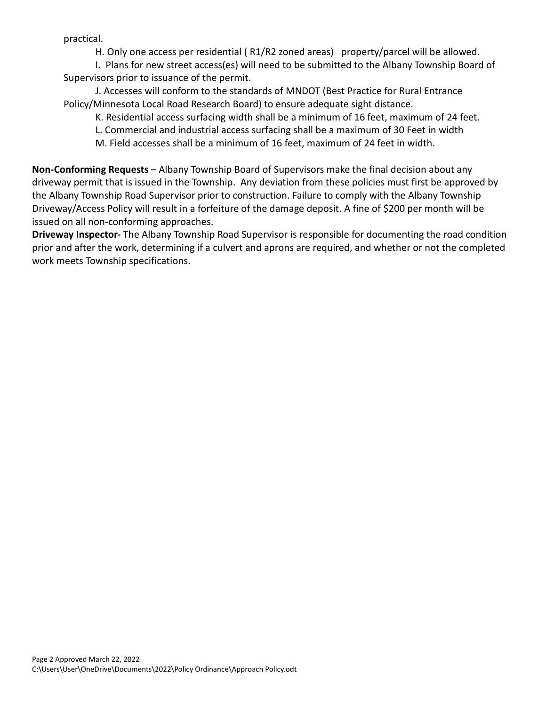practical.

H. Only one access per residential ( R1/R2 zoned areas) property/parcel will be allowed.

I. Plans for new street access(es) will need to be submitted to the Albany Township Board of Supervisors prior to issuance of the permit.

J. Accesses will conform to the standards of MNDOT (Best Practice for Rural Entrance Policy/Minnesota Local Road Research Board) to ensure adequate sight distance.

K. Residential access surfacing width shall be a minimum of 16 feet, maximum of 24 feet.

L. Commercial and industrial access surfacing shall be a maximum of 30 Feet in width

M. Field accesses shall be a minimum of 16 feet, maximum of 24 feet in width.

**Non-Conforming Requests** – Albany Township Board of Supervisors make the final decision about any driveway permit that is issued in the Township. Any deviation from these policies must first be approved by the Albany Township Road Supervisor prior to construction. Failure to comply with the Albany Township Driveway/Access Policy will result in a forfeiture of the damage deposit. A fine of \$200 per month will be issued on all non-conforming approaches.

**Driveway Inspector-** The Albany Township Road Supervisor is responsible for documenting the road condition prior and after the work, determining if a culvert and aprons are required, and whether or not the completed work meets Township specifications.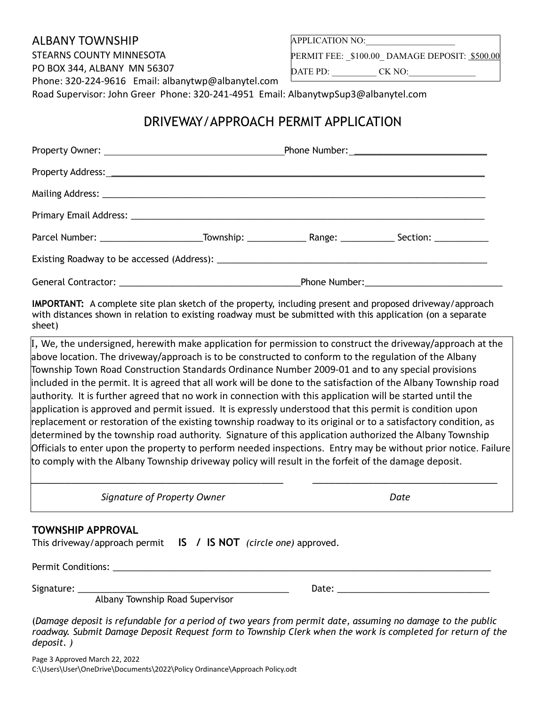### ALBANY TOWNSHIP

STEARNS COUNTY MINNESOTA

PO BOX 344, ALBANY MN 56307

Phone: 320-224-9616 Email: [albanytwp@albanytel.com](mailto:albanytwp@albanytel.com)

APPLICATION NO:

PERMIT FEE:  $$100.00$  DAMAGE DEPOSIT: \$500.00

DATE PD: CK NO:

Road Supervisor: John Greer Phone: 320-241-4951 Email: AlbanytwpSup3@albanytel.com

# DRIVEWAY/APPROACH PERMIT APPLICATION

| Parcel Number: ___________________________Township: _______________________Range: ____________________________ |  |  |  |  |  |
|----------------------------------------------------------------------------------------------------------------|--|--|--|--|--|
|                                                                                                                |  |  |  |  |  |
|                                                                                                                |  |  |  |  |  |

**IMPORTANT:** A complete site plan sketch of the property, including present and proposed driveway/approach with distances shown in relation to existing roadway must be submitted with this application (on a separate sheet)

I, We, the undersigned, herewith make application for permission to construct the driveway/approach at the above location. The driveway/approach is to be constructed to conform to the regulation of the Albany Township Town Road Construction Standards Ordinance Number 2009-01 and to any special provisions included in the permit. It is agreed that all work will be done to the satisfaction of the Albany Township road authority. It is further agreed that no work in connection with this application will be started until the application is approved and permit issued. It is expressly understood that this permit is condition upon replacement or restoration of the existing township roadway to its original or to a satisfactory condition, as determined by the township road authority. Signature of this application authorized the Albany Township Officials to enter upon the property to perform needed inspections. Entry may be without prior notice. Failure to comply with the Albany Township driveway policy will result in the forfeit of the damage deposit.

\_\_\_\_\_\_\_\_\_\_\_\_\_\_\_\_\_\_\_\_\_\_\_\_\_\_\_\_\_\_\_\_\_\_\_\_\_\_\_\_\_\_\_\_\_ \_\_\_\_\_\_\_\_\_\_\_\_\_\_\_\_\_\_\_\_\_\_\_\_\_\_\_\_\_\_\_\_\_

**Signature of Property Owner Community Community Community Community Community Community Community Community Community Community Community Community Community Community Community Community Community Community Community Com** 

### **TOWNSHIP APPROVAL**

|  | This driveway/approach permit IS / IS NOT (circle one) approved. |  |  |  |
|--|------------------------------------------------------------------|--|--|--|
|--|------------------------------------------------------------------|--|--|--|

Permit Conditions: \_\_\_\_\_\_\_\_\_\_\_\_\_\_\_\_\_\_\_\_\_\_\_\_\_\_\_\_\_\_\_\_\_\_\_\_\_\_\_\_\_\_\_\_\_\_\_\_\_\_\_\_\_\_\_\_\_\_\_\_\_\_\_\_\_\_\_\_\_\_\_\_\_\_\_\_\_

Signature: \_\_\_\_\_\_\_\_\_\_\_\_\_\_\_\_\_\_\_\_\_\_\_\_\_\_\_\_\_\_\_\_\_\_\_\_\_\_\_\_\_\_\_ Date: \_\_\_\_\_\_\_\_\_\_\_\_\_\_\_\_\_\_\_\_\_\_\_\_\_\_\_\_\_\_\_

Albany Township Road Supervisor

(*Damage deposit is refundable for a period of two years from permit date, assuming no damage to the public roadway. Submit Damage Deposit Request form to Township Clerk when the work is completed for return of the deposit. )*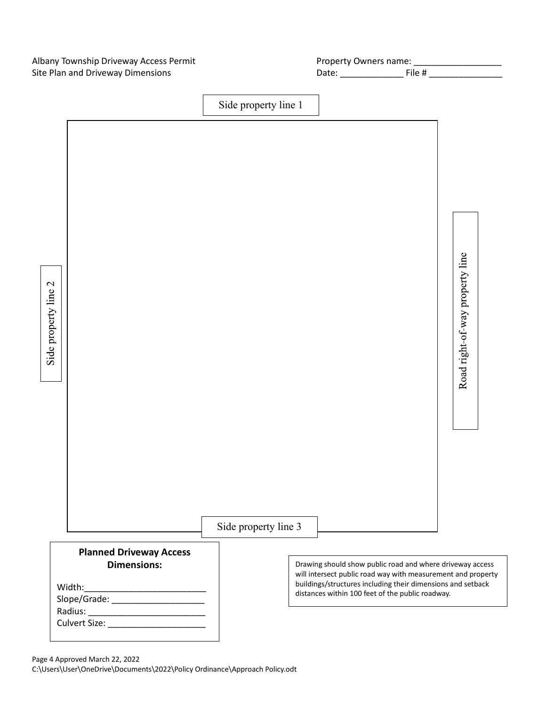Albany Township Driveway Access Permit Site Plan and Driveway Dimensions Date: \_\_\_\_\_\_\_\_\_\_\_\_\_ File # \_\_\_\_\_\_\_\_\_\_\_\_\_\_\_

| Property Owners name: |            |  |
|-----------------------|------------|--|
| nato:                 | $Eil0$ $H$ |  |



Page 4 Approved March 22, 2022 C:\Users\User\OneDrive\Documents\2022\Policy Ordinance\Approach Policy.odt